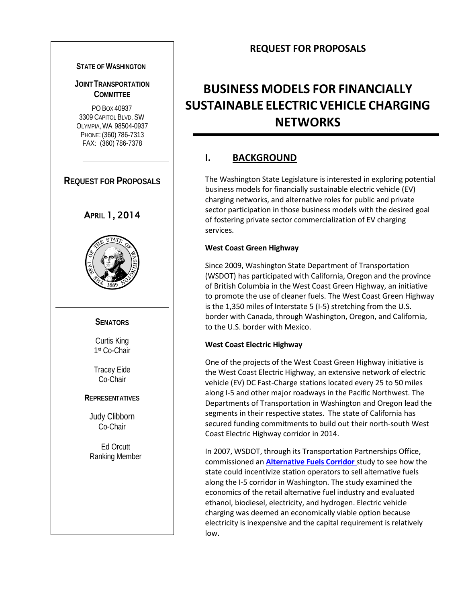## **REQUEST FOR PROPOSALS**

#### **STATE OF WASHINGTON**

## **JOINT TRANSPORTATION COMMITTEE**

PO BOX 40937 3309 CAPITOL BLVD. SW OLYMPIA, WA 98504-0937 PHONE: (360) 786-7313 FAX: (360) 786-7378

## **REQUEST FOR PROPOSALS**





#### **SENATORS**

Curtis King 1st Co-Chair

Tracey Eide Co-Chair

#### **REPRESENTATIVES**

Judy Clibborn Co-Chair

Ed Orcutt Ranking Member

# **BUSINESS MODELS FOR FINANCIALLY SUSTAINABLE ELECTRIC VEHICLE CHARGING NETWORKS**

# **I. BACKGROUND**

The Washington State Legislature is interested in exploring potential business models for financially sustainable electric vehicle (EV) charging networks, and alternative roles for public and private sector participation in those business models with the desired goal of fostering private sector commercialization of EV charging services.

#### **West Coast Green Highway**

Since 2009, Washington State Department of Transportation (WSDOT) has participated with California, Oregon and the province of British Columbia in the West Coast Green Highway, an initiative to promote the use of cleaner fuels. The West Coast Green Highway is the 1,350 miles of Interstate 5 (I-5) stretching from the U.S. border with Canada, through Washington, Oregon, and California, to the U.S. border with Mexico.

#### **West Coast Electric Highway**

One of the projects of the West Coast Green Highway initiative is the West Coast Electric Highway, an extensive network of electric vehicle (EV) DC Fast-Charge stations located every 25 to 50 miles along I-5 and other major roadways in the Pacific Northwest. The Departments of Transportation in Washington and Oregon lead the segments in their respective states. The state of California has secured funding commitments to build out their north-south West Coast Electric Highway corridor in 2014.

In 2007, WSDOT, through its Transportation Partnerships Office, commissioned an **[Alternative Fuels](http://www.westcoastgreenhighway.com/alternativefuels.htm) Corridor** study to see how the state could incentivize station operators to sell alternative fuels along the I-5 corridor in Washington. The study examined the economics of the retail alternative fuel industry and evaluated ethanol, biodiesel, electricity, and hydrogen. Electric vehicle charging was deemed an economically viable option because electricity is inexpensive and the capital requirement is relatively low.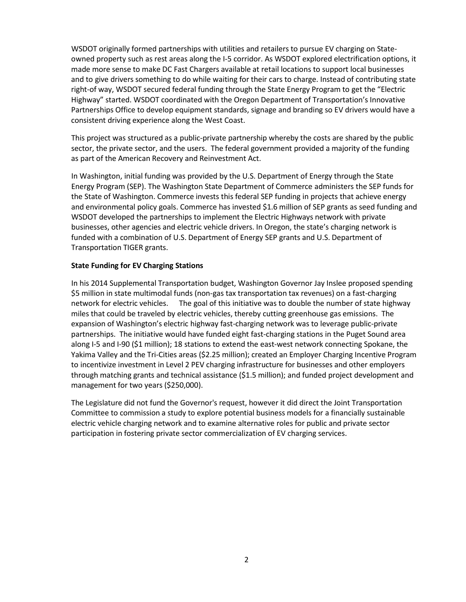WSDOT originally formed partnerships with utilities and retailers to pursue EV charging on Stateowned property such as rest areas along the I-5 corridor. As WSDOT explored electrification options, it made more sense to make DC Fast Chargers available at retail locations to support local businesses and to give drivers something to do while waiting for their cars to charge. Instead of contributing state right-of way, WSDOT secured federal funding through the State Energy Program to get the "Electric Highway" started. WSDOT coordinated with the Oregon Department of Transportation's Innovative Partnerships Office to develop equipment standards, signage and branding so EV drivers would have a consistent driving experience along the West Coast.

This project was structured as a public-private partnership whereby the costs are shared by the public sector, the private sector, and the users. The federal government provided a majority of the funding as part of the American Recovery and Reinvestment Act.

In Washington, initial funding was provided by the U.S. Department of Energy through the State Energy Program (SEP). The Washington State Department of Commerce administers the SEP funds for the State of Washington. Commerce invests this federal SEP funding in projects that achieve energy and environmental policy goals. Commerce has invested \$1.6 million of SEP grants as seed funding and WSDOT developed the partnerships to implement the Electric Highways network with private businesses, other agencies and electric vehicle drivers. In Oregon, the state's charging network is funded with a combination of U.S. Department of Energy SEP grants and U.S. Department of Transportation TIGER grants.

#### **State Funding for EV Charging Stations**

In his 2014 Supplemental Transportation budget, Washington Governor Jay Inslee proposed spending \$5 million in state multimodal funds (non-gas tax transportation tax revenues) on a fast-charging network for electric vehicles. The goal of this initiative was to double the number of state highway miles that could be traveled by electric vehicles, thereby cutting greenhouse gas emissions. The expansion of Washington's electric highway fast-charging network was to leverage public-private partnerships. The initiative would have funded eight fast-charging stations in the Puget Sound area along I-5 and I-90 (\$1 million); 18 stations to extend the east-west network connecting Spokane, the Yakima Valley and the Tri-Cities areas (\$2.25 million); created an Employer Charging Incentive Program to incentivize investment in Level 2 PEV charging infrastructure for businesses and other employers through matching grants and technical assistance (\$1.5 million); and funded project development and management for two years (\$250,000).

The Legislature did not fund the Governor's request, however it did direct the Joint Transportation Committee to commission a study to explore potential business models for a financially sustainable electric vehicle charging network and to examine alternative roles for public and private sector participation in fostering private sector commercialization of EV charging services.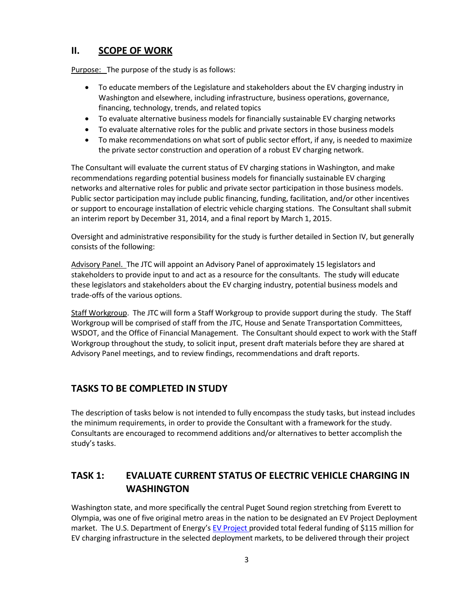## **II. SCOPE OF WORK**

Purpose: The purpose of the study is as follows:

- To educate members of the Legislature and stakeholders about the EV charging industry in Washington and elsewhere, including infrastructure, business operations, governance, financing, technology, trends, and related topics
- To evaluate alternative business models for financially sustainable EV charging networks
- To evaluate alternative roles for the public and private sectors in those business models
- To make recommendations on what sort of public sector effort, if any, is needed to maximize the private sector construction and operation of a robust EV charging network.

The Consultant will evaluate the current status of EV charging stations in Washington, and make recommendations regarding potential business models for financially sustainable EV charging networks and alternative roles for public and private sector participation in those business models. Public sector participation may include public financing, funding, facilitation, and/or other incentives or support to encourage installation of electric vehicle charging stations. The Consultant shall submit an interim report by December 31, 2014, and a final report by March 1, 2015.

Oversight and administrative responsibility for the study is further detailed in Section IV, but generally consists of the following:

Advisory Panel. The JTC will appoint an Advisory Panel of approximately 15 legislators and stakeholders to provide input to and act as a resource for the consultants. The study will educate these legislators and stakeholders about the EV charging industry, potential business models and trade-offs of the various options.

Staff Workgroup. The JTC will form a Staff Workgroup to provide support during the study. The Staff Workgroup will be comprised of staff from the JTC, House and Senate Transportation Committees, WSDOT, and the Office of Financial Management. The Consultant should expect to work with the Staff Workgroup throughout the study, to solicit input, present draft materials before they are shared at Advisory Panel meetings, and to review findings, recommendations and draft reports.

# **TASKS TO BE COMPLETED IN STUDY**

The description of tasks below is not intended to fully encompass the study tasks, but instead includes the minimum requirements, in order to provide the Consultant with a framework for the study. Consultants are encouraged to recommend additions and/or alternatives to better accomplish the study's tasks.

# **TASK 1: EVALUATE CURRENT STATUS OF ELECTRIC VEHICLE CHARGING IN WASHINGTON**

Washington state, and more specifically the central Puget Sound region stretching from Everett to Olympia, was one of five original metro areas in the nation to be designated an EV Project Deployment market. The U.S. Department of Energy's EV [Project p](http://www.theevproject.com/)rovided total federal funding of \$115 million for EV charging infrastructure in the selected deployment markets, to be delivered through their project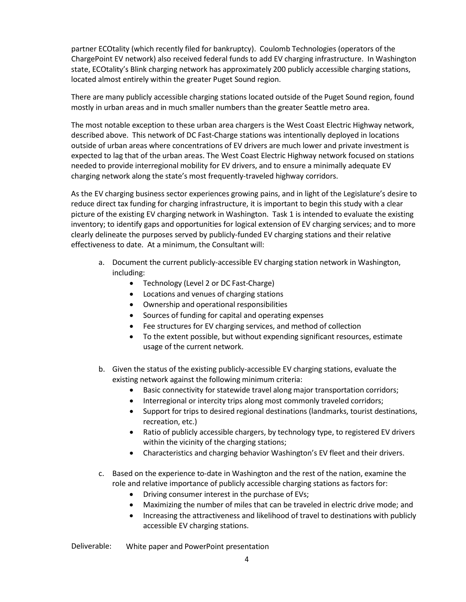partner ECOtality (which recently filed for bankruptcy). Coulomb Technologies (operators of the ChargePoint EV network) also received federal funds to add EV charging infrastructure. In Washington state, ECOtality's Blink charging network has approximately 200 publicly accessible charging stations, located almost entirely within the greater Puget Sound region.

There are many publicly accessible charging stations located outside of the Puget Sound region, found mostly in urban areas and in much smaller numbers than the greater Seattle metro area.

The most notable exception to these urban area chargers is the West Coast Electric Highway network, described above. This network of DC Fast-Charge stations was intentionally deployed in locations outside of urban areas where concentrations of EV drivers are much lower and private investment is expected to lag that of the urban areas. The West Coast Electric Highway network focused on stations needed to provide interregional mobility for EV drivers, and to ensure a minimally adequate EV charging network along the state's most frequently-traveled highway corridors.

As the EV charging business sector experiences growing pains, and in light of the Legislature's desire to reduce direct tax funding for charging infrastructure, it is important to begin this study with a clear picture of the existing EV charging network in Washington. Task 1 is intended to evaluate the existing inventory; to identify gaps and opportunities for logical extension of EV charging services; and to more clearly delineate the purposes served by publicly-funded EV charging stations and their relative effectiveness to date. At a minimum, the Consultant will:

- a. Document the current publicly-accessible EV charging station network in Washington, including:
	- Technology (Level 2 or DC Fast-Charge)
	- Locations and venues of charging stations
	- Ownership and operational responsibilities
	- Sources of funding for capital and operating expenses
	- Fee structures for EV charging services, and method of collection
	- To the extent possible, but without expending significant resources, estimate usage of the current network.
- b. Given the status of the existing publicly-accessible EV charging stations, evaluate the existing network against the following minimum criteria:
	- Basic connectivity for statewide travel along major transportation corridors;
	- Interregional or intercity trips along most commonly traveled corridors;
	- Support for trips to desired regional destinations (landmarks, tourist destinations, recreation, etc.)
	- Ratio of publicly accessible chargers, by technology type, to registered EV drivers within the vicinity of the charging stations;
	- Characteristics and charging behavior Washington's EV fleet and their drivers.
- c. Based on the experience to-date in Washington and the rest of the nation, examine the role and relative importance of publicly accessible charging stations as factors for:
	- Driving consumer interest in the purchase of EVs;
	- Maximizing the number of miles that can be traveled in electric drive mode; and
	- Increasing the attractiveness and likelihood of travel to destinations with publicly accessible EV charging stations.

Deliverable: White paper and PowerPoint presentation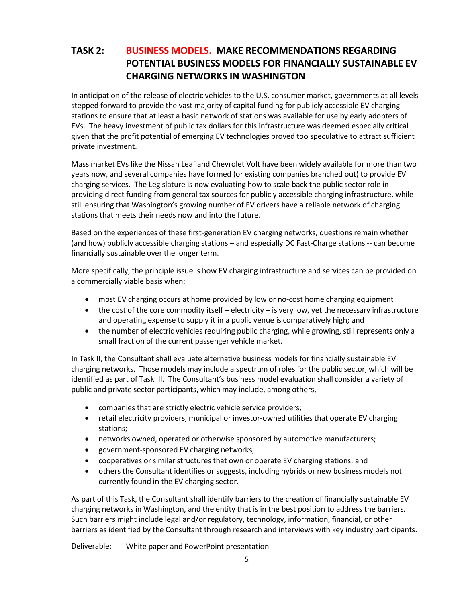# **TASK 2: BUSINESS MODELS. MAKE RECOMMENDATIONS REGARDING POTENTIAL BUSINESS MODELS FOR FINANCIALLY SUSTAINABLE EV CHARGING NETWORKS IN WASHINGTON**

In anticipation of the release of electric vehicles to the U.S. consumer market, governments at all levels stepped forward to provide the vast majority of capital funding for publicly accessible EV charging stations to ensure that at least a basic network of stations was available for use by early adopters of EVs. The heavy investment of public tax dollars for this infrastructure was deemed especially critical given that the profit potential of emerging EV technologies proved too speculative to attract sufficient private investment.

Mass market EVs like the Nissan Leaf and Chevrolet Volt have been widely available for more than two years now, and several companies have formed (or existing companies branched out) to provide EV charging services. The Legislature is now evaluating how to scale back the public sector role in providing direct funding from general tax sources for publicly accessible charging infrastructure, while still ensuring that Washington's growing number of EV drivers have a reliable network of charging stations that meets their needs now and into the future.

Based on the experiences of these first-generation EV charging networks, questions remain whether (and how) publicly accessible charging stations – and especially DC Fast-Charge stations -- can become financially sustainable over the longer term.

More specifically, the principle issue is how EV charging infrastructure and services can be provided on a commercially viable basis when:

- most EV charging occurs at home provided by low or no-cost home charging equipment
- the cost of the core commodity itself electricity is very low, yet the necessary infrastructure and operating expense to supply it in a public venue is comparatively high; and
- the number of electric vehicles requiring public charging, while growing, still represents only a small fraction of the current passenger vehicle market.

In Task II, the Consultant shall evaluate alternative business models for financially sustainable EV charging networks. Those models may include a spectrum of roles for the public sector, which will be identified as part of Task III. The Consultant's business model evaluation shall consider a variety of public and private sector participants, which may include, among others,

- companies that are strictly electric vehicle service providers;
- retail electricity providers, municipal or investor-owned utilities that operate EV charging stations;
- networks owned, operated or otherwise sponsored by automotive manufacturers;
- government-sponsored EV charging networks;
- cooperatives or similar structures that own or operate EV charging stations; and
- others the Consultant identifies or suggests, including hybrids or new business models not currently found in the EV charging sector.

As part of this Task, the Consultant shall identify barriers to the creation of financially sustainable EV charging networks in Washington, and the entity that is in the best position to address the barriers. Such barriers might include legal and/or regulatory, technology, information, financial, or other barriers as identified by the Consultant through research and interviews with key industry participants.

Deliverable: White paper and PowerPoint presentation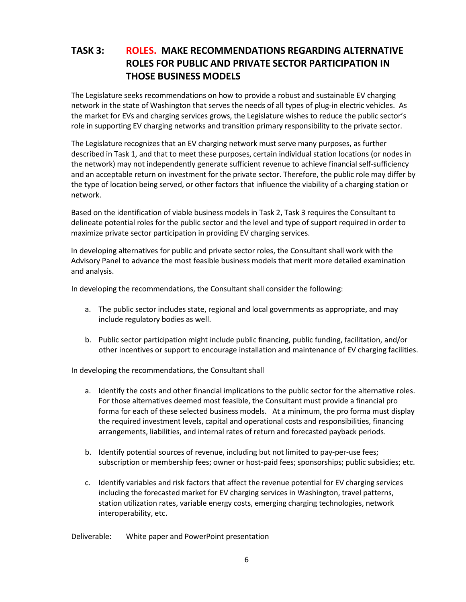# **TASK 3: ROLES. MAKE RECOMMENDATIONS REGARDING ALTERNATIVE ROLES FOR PUBLIC AND PRIVATE SECTOR PARTICIPATION IN THOSE BUSINESS MODELS**

The Legislature seeks recommendations on how to provide a robust and sustainable EV charging network in the state of Washington that serves the needs of all types of plug-in electric vehicles. As the market for EVs and charging services grows, the Legislature wishes to reduce the public sector's role in supporting EV charging networks and transition primary responsibility to the private sector.

The Legislature recognizes that an EV charging network must serve many purposes, as further described in Task 1, and that to meet these purposes, certain individual station locations (or nodes in the network) may not independently generate sufficient revenue to achieve financial self-sufficiency and an acceptable return on investment for the private sector. Therefore, the public role may differ by the type of location being served, or other factors that influence the viability of a charging station or network.

Based on the identification of viable business models in Task 2, Task 3 requires the Consultant to delineate potential roles for the public sector and the level and type of support required in order to maximize private sector participation in providing EV charging services.

In developing alternatives for public and private sector roles, the Consultant shall work with the Advisory Panel to advance the most feasible business models that merit more detailed examination and analysis.

In developing the recommendations, the Consultant shall consider the following:

- a. The public sector includes state, regional and local governments as appropriate, and may include regulatory bodies as well.
- b. Public sector participation might include public financing, public funding, facilitation, and/or other incentives or support to encourage installation and maintenance of EV charging facilities.

In developing the recommendations, the Consultant shall

- a. Identify the costs and other financial implications to the public sector for the alternative roles. For those alternatives deemed most feasible, the Consultant must provide a financial pro forma for each of these selected business models. At a minimum, the pro forma must display the required investment levels, capital and operational costs and responsibilities, financing arrangements, liabilities, and internal rates of return and forecasted payback periods.
- b. Identify potential sources of revenue, including but not limited to pay-per-use fees; subscription or membership fees; owner or host-paid fees; sponsorships; public subsidies; etc.
- c. Identify variables and risk factors that affect the revenue potential for EV charging services including the forecasted market for EV charging services in Washington, travel patterns, station utilization rates, variable energy costs, emerging charging technologies, network interoperability, etc.

Deliverable: White paper and PowerPoint presentation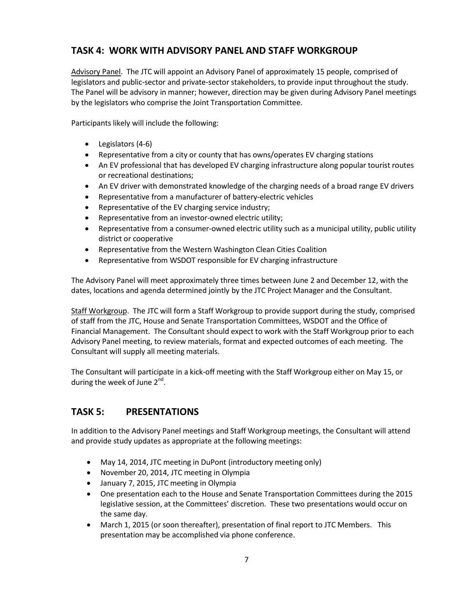## **TASK 4: WORK WITH ADVISORY PANEL AND STAFF WORKGROUP**

Advisory Panel. The JTC will appoint an Advisory Panel of approximately 15 people, comprised of legislators and public-sector and private-sector stakeholders, to provide input throughout the study. The Panel will be advisory in manner; however, direction may be given during Advisory Panel meetings by the legislators who comprise the Joint Transportation Committee.

Participants likely will include the following:

- Legislators (4-6)
- Representative from a city or county that has owns/operates EV charging stations
- An EV professional that has developed EV charging infrastructure along popular tourist routes or recreational destinations;
- An EV driver with demonstrated knowledge of the charging needs of a broad range EV drivers
- Representative from a manufacturer of battery-electric vehicles
- Representative of the EV charging service industry;
- Representative from an investor-owned electric utility;
- Representative from a consumer-owned electric utility such as a municipal utility, public utility district or cooperative
- Representative from the Western Washington Clean Cities Coalition
- Representative from WSDOT responsible for EV charging infrastructure

The Advisory Panel will meet approximately three times between June 2 and December 12, with the dates, locations and agenda determined jointly by the JTC Project Manager and the Consultant.

Staff Workgroup. The JTC will form a Staff Workgroup to provide support during the study, comprised of staff from the JTC, House and Senate Transportation Committees, WSDOT and the Office of Financial Management. The Consultant should expect to work with the Staff Workgroup prior to each Advisory Panel meeting, to review materials, format and expected outcomes of each meeting. The Consultant will supply all meeting materials.

The Consultant will participate in a kick-off meeting with the Staff Workgroup either on May 15, or during the week of June  $2<sup>nd</sup>$ .

# **TASK 5: PRESENTATIONS**

In addition to the Advisory Panel meetings and Staff Workgroup meetings, the Consultant will attend and provide study updates as appropriate at the following meetings:

- May 14, 2014, JTC meeting in DuPont (introductory meeting only)
- November 20, 2014, JTC meeting in Olympia
- January 7, 2015, JTC meeting in Olympia
- One presentation each to the House and Senate Transportation Committees during the 2015 legislative session, at the Committees' discretion. These two presentations would occur on the same day.
- March 1, 2015 (or soon thereafter), presentation of final report to JTC Members. This presentation may be accomplished via phone conference.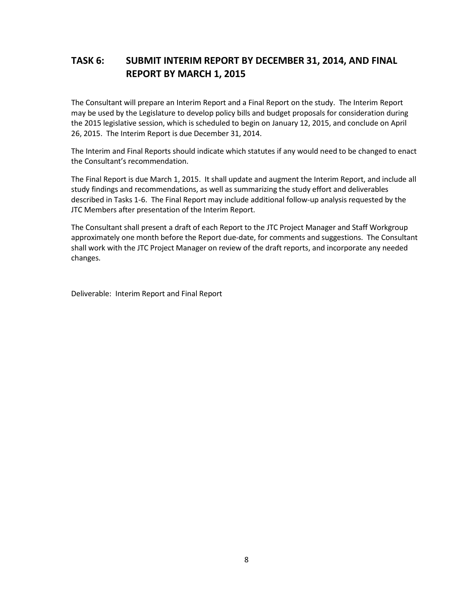# **TASK 6: SUBMIT INTERIM REPORT BY DECEMBER 31, 2014, AND FINAL REPORT BY MARCH 1, 2015**

The Consultant will prepare an Interim Report and a Final Report on the study. The Interim Report may be used by the Legislature to develop policy bills and budget proposals for consideration during the 2015 legislative session, which is scheduled to begin on January 12, 2015, and conclude on April 26, 2015. The Interim Report is due December 31, 2014.

The Interim and Final Reports should indicate which statutes if any would need to be changed to enact the Consultant's recommendation.

The Final Report is due March 1, 2015. It shall update and augment the Interim Report, and include all study findings and recommendations, as well as summarizing the study effort and deliverables described in Tasks 1-6. The Final Report may include additional follow-up analysis requested by the JTC Members after presentation of the Interim Report.

The Consultant shall present a draft of each Report to the JTC Project Manager and Staff Workgroup approximately one month before the Report due-date, for comments and suggestions. The Consultant shall work with the JTC Project Manager on review of the draft reports, and incorporate any needed changes.

Deliverable: Interim Report and Final Report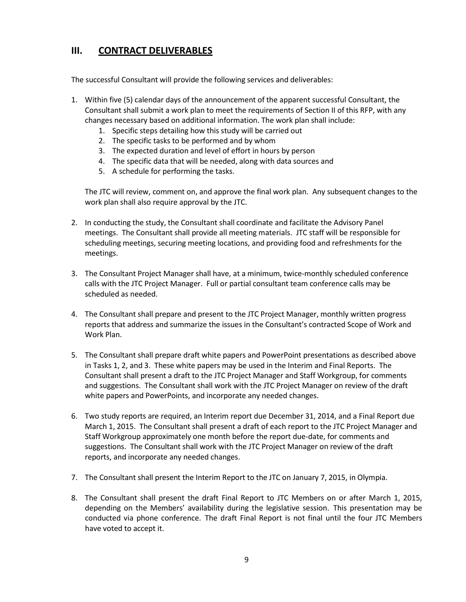## **III. CONTRACT DELIVERABLES**

The successful Consultant will provide the following services and deliverables:

- 1. Within five (5) calendar days of the announcement of the apparent successful Consultant, the Consultant shall submit a work plan to meet the requirements of Section II of this RFP, with any changes necessary based on additional information. The work plan shall include:
	- 1. Specific steps detailing how this study will be carried out
	- 2. The specific tasks to be performed and by whom
	- 3. The expected duration and level of effort in hours by person
	- 4. The specific data that will be needed, along with data sources and
	- 5. A schedule for performing the tasks.

The JTC will review, comment on, and approve the final work plan. Any subsequent changes to the work plan shall also require approval by the JTC.

- 2. In conducting the study, the Consultant shall coordinate and facilitate the Advisory Panel meetings. The Consultant shall provide all meeting materials. JTC staff will be responsible for scheduling meetings, securing meeting locations, and providing food and refreshments for the meetings.
- 3. The Consultant Project Manager shall have, at a minimum, twice-monthly scheduled conference calls with the JTC Project Manager. Full or partial consultant team conference calls may be scheduled as needed.
- 4. The Consultant shall prepare and present to the JTC Project Manager, monthly written progress reports that address and summarize the issues in the Consultant's contracted Scope of Work and Work Plan.
- 5. The Consultant shall prepare draft white papers and PowerPoint presentations as described above in Tasks 1, 2, and 3. These white papers may be used in the Interim and Final Reports. The Consultant shall present a draft to the JTC Project Manager and Staff Workgroup, for comments and suggestions. The Consultant shall work with the JTC Project Manager on review of the draft white papers and PowerPoints, and incorporate any needed changes.
- 6. Two study reports are required, an Interim report due December 31, 2014, and a Final Report due March 1, 2015. The Consultant shall present a draft of each report to the JTC Project Manager and Staff Workgroup approximately one month before the report due-date, for comments and suggestions. The Consultant shall work with the JTC Project Manager on review of the draft reports, and incorporate any needed changes.
- 7. The Consultant shall present the Interim Report to the JTC on January 7, 2015, in Olympia.
- 8. The Consultant shall present the draft Final Report to JTC Members on or after March 1, 2015, depending on the Members' availability during the legislative session. This presentation may be conducted via phone conference. The draft Final Report is not final until the four JTC Members have voted to accept it.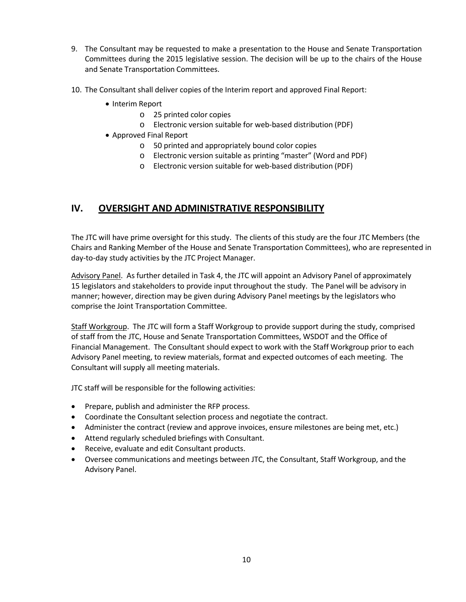- 9. The Consultant may be requested to make a presentation to the House and Senate Transportation Committees during the 2015 legislative session. The decision will be up to the chairs of the House and Senate Transportation Committees.
- 10. The Consultant shall deliver copies of the Interim report and approved Final Report:
	- Interim Report
		- o 25 printed color copies
		- o Electronic version suitable for web-based distribution (PDF)
	- Approved Final Report
		- o 50 printed and appropriately bound color copies
		- o Electronic version suitable as printing "master" (Word and PDF)
		- o Electronic version suitable for web-based distribution (PDF)

## **IV. OVERSIGHT AND ADMINISTRATIVE RESPONSIBILITY**

The JTC will have prime oversight for this study. The clients of this study are the four JTC Members (the Chairs and Ranking Member of the House and Senate Transportation Committees), who are represented in day-to-day study activities by the JTC Project Manager.

Advisory Panel. As further detailed in Task 4, the JTC will appoint an Advisory Panel of approximately 15 legislators and stakeholders to provide input throughout the study. The Panel will be advisory in manner; however, direction may be given during Advisory Panel meetings by the legislators who comprise the Joint Transportation Committee.

Staff Workgroup. The JTC will form a Staff Workgroup to provide support during the study, comprised of staff from the JTC, House and Senate Transportation Committees, WSDOT and the Office of Financial Management. The Consultant should expect to work with the Staff Workgroup prior to each Advisory Panel meeting, to review materials, format and expected outcomes of each meeting. The Consultant will supply all meeting materials.

JTC staff will be responsible for the following activities:

- Prepare, publish and administer the RFP process.
- Coordinate the Consultant selection process and negotiate the contract.
- Administer the contract (review and approve invoices, ensure milestones are being met, etc.)
- Attend regularly scheduled briefings with Consultant.
- Receive, evaluate and edit Consultant products.
- Oversee communications and meetings between JTC, the Consultant, Staff Workgroup, and the Advisory Panel.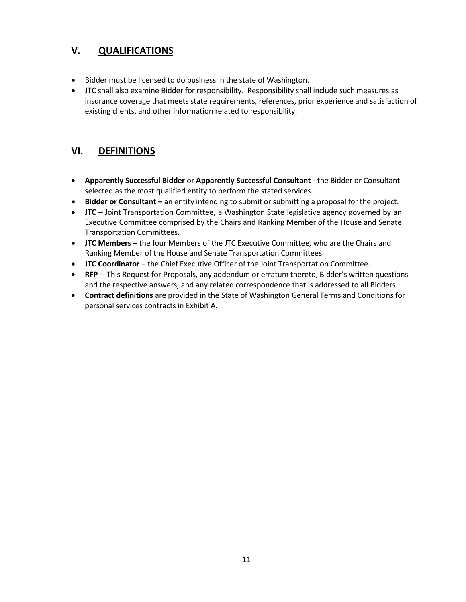# **V. QUALIFICATIONS**

- Bidder must be licensed to do business in the state of Washington.
- JTC shall also examine Bidder for responsibility. Responsibility shall include such measures as insurance coverage that meets state requirements, references, prior experience and satisfaction of existing clients, and other information related to responsibility.

## **VI. DEFINITIONS**

- **Apparently Successful Bidder** or **Apparently Successful Consultant -** the Bidder or Consultant selected as the most qualified entity to perform the stated services.
- **Bidder or Consultant –** an entity intending to submit or submitting a proposal for the project.
- **JTC –** Joint Transportation Committee, a Washington State legislative agency governed by an Executive Committee comprised by the Chairs and Ranking Member of the House and Senate Transportation Committees.
- **JTC Members –** the four Members of the JTC Executive Committee, who are the Chairs and Ranking Member of the House and Senate Transportation Committees.
- **JTC Coordinator –** the Chief Executive Officer of the Joint Transportation Committee.
- **RFP --** This Request for Proposals, any addendum or erratum thereto, Bidder's written questions and the respective answers, and any related correspondence that is addressed to all Bidders.
- **Contract definitions** are provided in the State of Washington General Terms and Conditions for personal services contracts in Exhibit A.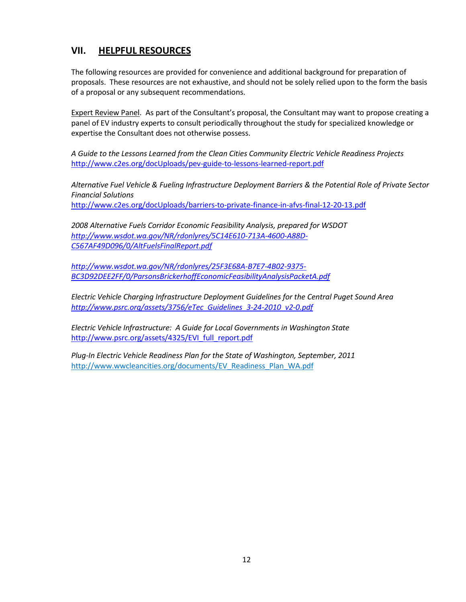## **VII. HELPFUL RESOURCES**

The following resources are provided for convenience and additional background for preparation of proposals. These resources are not exhaustive, and should not be solely relied upon to the form the basis of a proposal or any subsequent recommendations.

Expert Review Panel. As part of the Consultant's proposal, the Consultant may want to propose creating a panel of EV industry experts to consult periodically throughout the study for specialized knowledge or expertise the Consultant does not otherwise possess.

*A Guide to the Lessons Learned from the Clean Cities Community Electric Vehicle Readiness Projects* <http://www.c2es.org/docUploads/pev-guide-to-lessons-learned-report.pdf>

*Alternative Fuel Vehicle & Fueling Infrastructure Deployment Barriers & the Potential Role of Private Sector Financial Solutions*

<http://www.c2es.org/docUploads/barriers-to-private-finance-in-afvs-final-12-20-13.pdf>

*2008 Alternative Fuels Corridor Economic Feasibility Analysis, prepared for WSDOT [http://www.wsdot.wa.gov/NR/rdonlyres/5C14E610-713A-4600-A88D-](http://www.wsdot.wa.gov/NR/rdonlyres/5C14E610-713A-4600-A88D-C567AF49D096/0/AltFuelsFinalReport.pdf)[C567AF49D096/0/AltFuelsFinalReport.pdf](http://www.wsdot.wa.gov/NR/rdonlyres/5C14E610-713A-4600-A88D-C567AF49D096/0/AltFuelsFinalReport.pdf)*

*[http://www.wsdot.wa.gov/NR/rdonlyres/25F3E68A-B7E7-4B02-9375-](http://www.wsdot.wa.gov/NR/rdonlyres/25F3E68A-B7E7-4B02-9375-BC3D92DEE2FF/0/ParsonsBrickerhoffEconomicFeasibilityAnalysisPacketA.pdf) [BC3D92DEE2FF/0/ParsonsBrickerhoffEconomicFeasibilityAnalysisPacketA.pdf](http://www.wsdot.wa.gov/NR/rdonlyres/25F3E68A-B7E7-4B02-9375-BC3D92DEE2FF/0/ParsonsBrickerhoffEconomicFeasibilityAnalysisPacketA.pdf)*

*Electric Vehicle Charging Infrastructure Deployment Guidelines for the Central Puget Sound Area [http://www.psrc.org/assets/3756/eTec\\_Guidelines\\_3-24-2010\\_v2-0.pdf](http://www.psrc.org/assets/3756/eTec_Guidelines_3-24-2010_v2-0.pdf)*

*Electric Vehicle Infrastructure: A Guide for Local Governments in Washington State* [http://www.psrc.org/assets/4325/EVI\\_full\\_report.pdf](http://www.psrc.org/assets/4325/EVI_full_report.pdf)

*Plug-In Electric Vehicle Readiness Plan for the State of Washington, September, 2011* [http://www.wwcleancities.org/documents/EV\\_Readiness\\_Plan\\_WA.pdf](http://www.wwcleancities.org/documents/EV_Readiness_Plan_WA.pdf)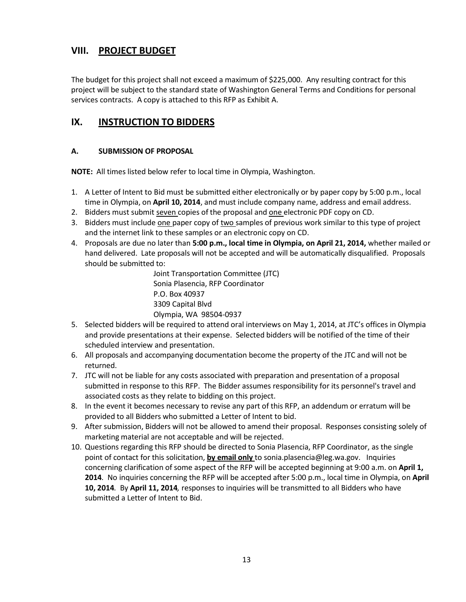## **VIII. PROJECT BUDGET**

The budget for this project shall not exceed a maximum of \$225,000. Any resulting contract for this project will be subject to the standard state of Washington General Terms and Conditions for personal services contracts. A copy is attached to this RFP as Exhibit A.

# **IX. INSTRUCTION TO BIDDERS**

#### **A. SUBMISSION OF PROPOSAL**

**NOTE:** All times listed below refer to local time in Olympia, Washington.

- 1. A Letter of Intent to Bid must be submitted either electronically or by paper copy by 5:00 p.m., local time in Olympia, on **April 10, 2014**, and must include company name, address and email address.
- 2. Bidders must submit seven copies of the proposal and one electronic PDF copy on CD.
- 3. Bidders must include one paper copy of two samples of previous work similar to this type of project and the internet link to these samples or an electronic copy on CD.
- 4. Proposals are due no later than **5:00 p.m., local time in Olympia, on April 21, 2014,** whether mailed or hand delivered. Late proposals will not be accepted and will be automatically disqualified. Proposals should be submitted to:

Joint Transportation Committee (JTC) Sonia Plasencia, RFP Coordinator P.O. Box 40937 3309 Capital Blvd Olympia, WA 98504-0937

- 5. Selected bidders will be required to attend oral interviews on May 1, 2014, at JTC's offices in Olympia and provide presentations at their expense. Selected bidders will be notified of the time of their scheduled interview and presentation.
- 6. All proposals and accompanying documentation become the property of the JTC and will not be returned.
- 7. JTC will not be liable for any costs associated with preparation and presentation of a proposal submitted in response to this RFP. The Bidder assumes responsibility for its personnel's travel and associated costs as they relate to bidding on this project.
- 8. In the event it becomes necessary to revise any part of this RFP, an addendum or erratum will be provided to all Bidders who submitted a Letter of Intent to bid.
- 9. After submission, Bidders will not be allowed to amend their proposal. Responses consisting solely of marketing material are not acceptable and will be rejected.
- 10. Questions regarding this RFP should be directed to Sonia Plasencia, RFP Coordinator, as the single point of contact for this solicitation, **by email only** to [sonia.plasencia@leg.wa.gov.](mailto:sonia.plasencia@leg.wa.gov) Inquiries concerning clarification of some aspect of the RFP will be accepted beginning at 9:00 a.m. on **April 1, 2014***.* No inquiries concerning the RFP will be accepted after 5:00 p.m., local time in Olympia, on **April 10, 2014***.* By **April 11, 2014***,* responses to inquiries will be transmitted to all Bidders who have submitted a Letter of Intent to Bid.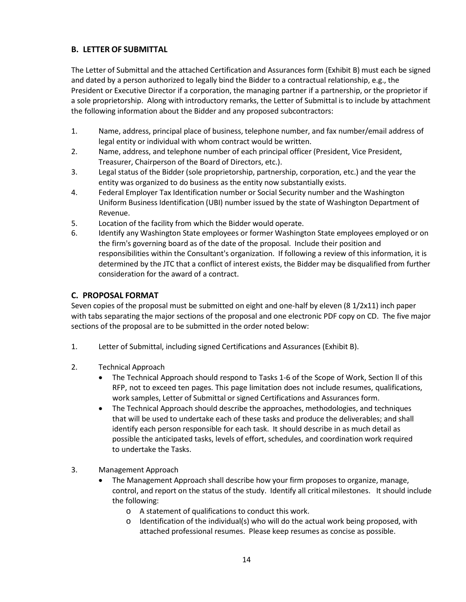### **B. LETTER OF SUBMITTAL**

The Letter of Submittal and the attached Certification and Assurances form (Exhibit B) must each be signed and dated by a person authorized to legally bind the Bidder to a contractual relationship, e.g., the President or Executive Director if a corporation, the managing partner if a partnership, or the proprietor if a sole proprietorship. Along with introductory remarks, the Letter of Submittal is to include by attachment the following information about the Bidder and any proposed subcontractors:

- 1. Name, address, principal place of business, telephone number, and fax number/email address of legal entity or individual with whom contract would be written.
- 2. Name, address, and telephone number of each principal officer (President, Vice President, Treasurer, Chairperson of the Board of Directors, etc.).
- 3. Legal status of the Bidder (sole proprietorship, partnership, corporation, etc.) and the year the entity was organized to do business as the entity now substantially exists.
- 4. Federal Employer Tax Identification number or Social Security number and the Washington Uniform Business Identification (UBI) number issued by the state of Washington Department of Revenue.
- 5. Location of the facility from which the Bidder would operate.
- 6. Identify any Washington State employees or former Washington State employees employed or on the firm's governing board as of the date of the proposal. Include their position and responsibilities within the Consultant's organization. If following a review of this information, it is determined by the JTC that a conflict of interest exists, the Bidder may be disqualified from further consideration for the award of a contract.

#### **C. PROPOSAL FORMAT**

Seven copies of the proposal must be submitted on eight and one-half by eleven (8 1/2x11) inch paper with tabs separating the major sections of the proposal and one electronic PDF copy on CD. The five major sections of the proposal are to be submitted in the order noted below:

- 1. Letter of Submittal, including signed Certifications and Assurances (Exhibit B).
- 2. Technical Approach
	- The Technical Approach should respond to Tasks 1-6 of the Scope of Work, Section ll of this RFP, not to exceed ten pages. This page limitation does not include resumes, qualifications, work samples, Letter of Submittal or signed Certifications and Assurances form.
	- The Technical Approach should describe the approaches, methodologies, and techniques that will be used to undertake each of these tasks and produce the deliverables; and shall identify each person responsible for each task. It should describe in as much detail as possible the anticipated tasks, levels of effort, schedules, and coordination work required to undertake the Tasks.
- 3. Management Approach
	- The Management Approach shall describe how your firm proposes to organize, manage, control, and report on the status of the study. Identify all critical milestones. It should include the following:
		- o A statement of qualifications to conduct this work.
		- $\circ$  Identification of the individual(s) who will do the actual work being proposed, with attached professional resumes. Please keep resumes as concise as possible.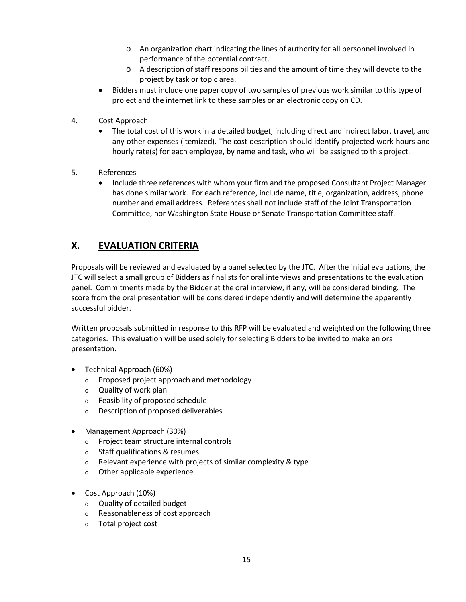- o An organization chart indicating the lines of authority for all personnel involved in performance of the potential contract.
- o A description of staff responsibilities and the amount of time they will devote to the project by task or topic area.
- Bidders must include one paper copy of two samples of previous work similar to this type of project and the internet link to these samples or an electronic copy on CD.
- 4. Cost Approach
	- The total cost of this work in a detailed budget, including direct and indirect labor, travel, and any other expenses (itemized). The cost description should identify projected work hours and hourly rate(s) for each employee, by name and task, who will be assigned to this project.
- 5. References
	- Include three references with whom your firm and the proposed Consultant Project Manager has done similar work. For each reference, include name, title, organization, address, phone number and email address. References shall not include staff of the Joint Transportation Committee, nor Washington State House or Senate Transportation Committee staff.

# **X. EVALUATION CRITERIA**

Proposals will be reviewed and evaluated by a panel selected by the JTC. After the initial evaluations, the JTC will select a small group of Bidders as finalists for oral interviews and presentations to the evaluation panel. Commitments made by the Bidder at the oral interview, if any, will be considered binding. The score from the oral presentation will be considered independently and will determine the apparently successful bidder.

Written proposals submitted in response to this RFP will be evaluated and weighted on the following three categories. This evaluation will be used solely for selecting Bidders to be invited to make an oral presentation.

- Technical Approach (60%)
	- <sup>o</sup> Proposed project approach and methodology
	- <sup>o</sup> Quality of work plan
	- <sup>o</sup> Feasibility of proposed schedule
	- <sup>o</sup> Description of proposed deliverables
- Management Approach (30%)
	- <sup>o</sup> Project team structure internal controls
	- <sup>o</sup> Staff qualifications & resumes
	- <sup>o</sup> Relevant experience with projects of similar complexity & type
	- <sup>o</sup> Other applicable experience
- Cost Approach (10%)
	- <sup>o</sup> Quality of detailed budget
	- <sup>o</sup> Reasonableness of cost approach
	- <sup>o</sup> Total project cost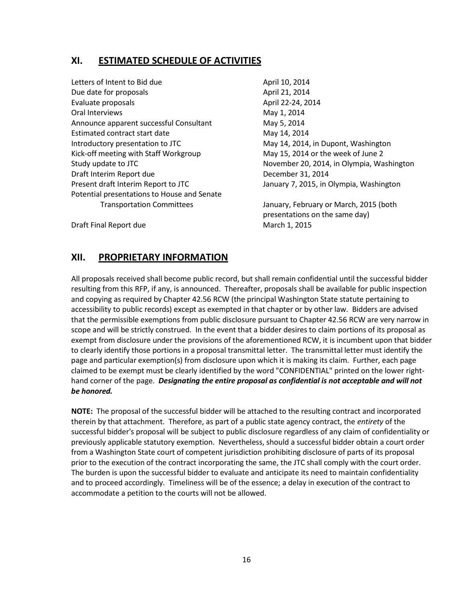## **XI. ESTIMATED SCHEDULE OF ACTIVITIES**

- Letters of Intent to Bid due April 10, 2014 Due date for proposals and all the control of the April 21, 2014 Evaluate proposals and all the April 22-24, 2014 Oral Interviews **May 1, 2014** Announce apparent successful Consultant May 5, 2014 Estimated contract start date May 14, 2014 Introductory presentation to JTC May 14, 2014, in Dupont, Washington Kick-off meeting with Staff Workgroup May 15, 2014 or the week of June 2 Study update to JTC **November 20, 2014, in Olympia, Washington** Draft Interim Report due December 31, 2014 Present draft Interim Report to JTC January 7, 2015, in Olympia, Washington Potential presentations to House and Senate
	-

Transportation Committees January, February or March, 2015 (both presentations on the same day)

Draft Final Report due March 1, 2015

## **XII. PROPRIETARY INFORMATION**

All proposals received shall become public record, but shall remain confidential until the successful bidder resulting from this RFP, if any, is announced. Thereafter, proposals shall be available for public inspection and copying as required by Chapter 42.56 RCW (the principal Washington State statute pertaining to accessibility to public records) except as exempted in that chapter or by other law. Bidders are advised that the permissible exemptions from public disclosure pursuant to Chapter 42.56 RCW are very narrow in scope and will be strictly construed. In the event that a bidder desires to claim portions of its proposal as exempt from disclosure under the provisions of the aforementioned RCW, it is incumbent upon that bidder to clearly identify those portions in a proposal transmittal letter. The transmittal letter must identify the page and particular exemption(s) from disclosure upon which it is making its claim. Further, each page claimed to be exempt must be clearly identified by the word "CONFIDENTIAL" printed on the lower righthand corner of the page. *Designating the entire proposal as confidential is not acceptable and will not be honored.*

**NOTE:** The proposal of the successful bidder will be attached to the resulting contract and incorporated therein by that attachment. Therefore, as part of a public state agency contract, the *entirety* of the successful bidder's proposal will be subject to public disclosure regardless of any claim of confidentiality or previously applicable statutory exemption. Nevertheless, should a successful bidder obtain a court order from a Washington State court of competent jurisdiction prohibiting disclosure of parts of its proposal prior to the execution of the contract incorporating the same, the JTC shall comply with the court order. The burden is upon the successful bidder to evaluate and anticipate its need to maintain confidentiality and to proceed accordingly. Timeliness will be of the essence; a delay in execution of the contract to accommodate a petition to the courts will not be allowed.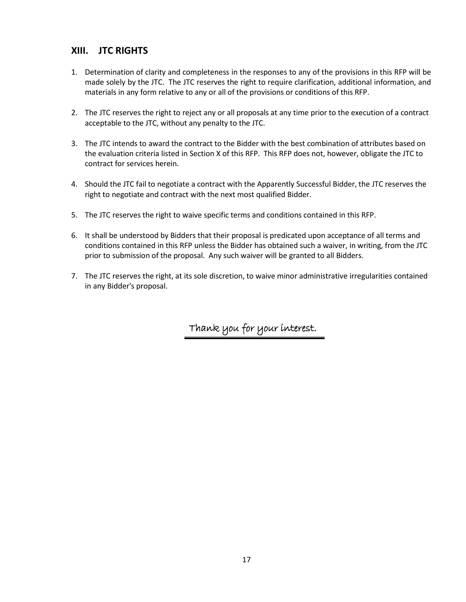## **XIII. JTC RIGHTS**

- 1. Determination of clarity and completeness in the responses to any of the provisions in this RFP will be made solely by the JTC. The JTC reserves the right to require clarification, additional information, and materials in any form relative to any or all of the provisions or conditions of this RFP.
- 2. The JTC reserves the right to reject any or all proposals at any time prior to the execution of a contract acceptable to the JTC, without any penalty to the JTC.
- 3. The JTC intends to award the contract to the Bidder with the best combination of attributes based on the evaluation criteria listed in Section X of this RFP. This RFP does not, however, obligate the JTC to contract for services herein.
- 4. Should the JTC fail to negotiate a contract with the Apparently Successful Bidder, the JTC reserves the right to negotiate and contract with the next most qualified Bidder.
- 5. The JTC reserves the right to waive specific terms and conditions contained in this RFP.
- 6. It shall be understood by Bidders that their proposal is predicated upon acceptance of all terms and conditions contained in this RFP unless the Bidder has obtained such a waiver, in writing, from the JTC prior to submission of the proposal. Any such waiver will be granted to all Bidders.
- 7. The JTC reserves the right, at its sole discretion, to waive minor administrative irregularities contained in any Bidder's proposal.

Thank you for your interest.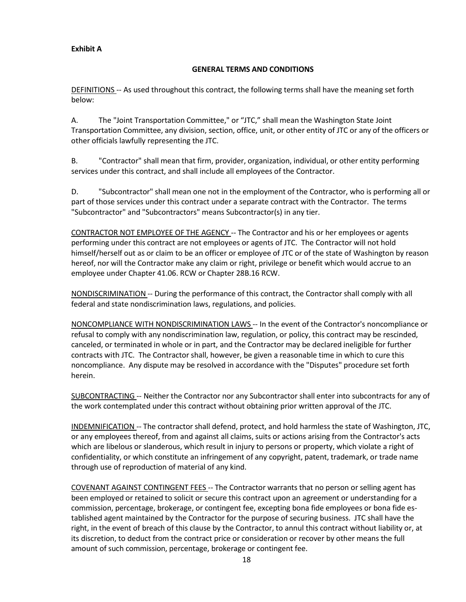#### **Exhibit A**

#### **GENERAL TERMS AND CONDITIONS**

DEFINITIONS -- As used throughout this contract, the following terms shall have the meaning set forth below:

A. The "Joint Transportation Committee," or "JTC," shall mean the Washington State Joint Transportation Committee, any division, section, office, unit, or other entity of JTC or any of the officers or other officials lawfully representing the JTC.

B. "Contractor" shall mean that firm, provider, organization, individual, or other entity performing services under this contract, and shall include all employees of the Contractor.

D. "Subcontractor" shall mean one not in the employment of the Contractor, who is performing all or part of those services under this contract under a separate contract with the Contractor. The terms "Subcontractor" and "Subcontractors" means Subcontractor(s) in any tier.

CONTRACTOR NOT EMPLOYEE OF THE AGENCY -- The Contractor and his or her employees or agents performing under this contract are not employees or agents of JTC. The Contractor will not hold himself/herself out as or claim to be an officer or employee of JTC or of the state of Washington by reason hereof, nor will the Contractor make any claim or right, privilege or benefit which would accrue to an employee under Chapter 41.06. RCW or Chapter 28B.16 RCW.

NONDISCRIMINATION -- During the performance of this contract, the Contractor shall comply with all federal and state nondiscrimination laws, regulations, and policies.

NONCOMPLIANCE WITH NONDISCRIMINATION LAWS -- In the event of the Contractor's noncompliance or refusal to comply with any nondiscrimination law, regulation, or policy, this contract may be rescinded, canceled, or terminated in whole or in part, and the Contractor may be declared ineligible for further contracts with JTC. The Contractor shall, however, be given a reasonable time in which to cure this noncompliance. Any dispute may be resolved in accordance with the "Disputes" procedure set forth herein.

SUBCONTRACTING -- Neither the Contractor nor any Subcontractor shall enter into subcontracts for any of the work contemplated under this contract without obtaining prior written approval of the JTC.

INDEMNIFICATION -- The contractor shall defend, protect, and hold harmless the state of Washington, JTC, or any employees thereof, from and against all claims, suits or actions arising from the Contractor's acts which are libelous or slanderous, which result in injury to persons or property, which violate a right of confidentiality, or which constitute an infringement of any copyright, patent, trademark, or trade name through use of reproduction of material of any kind.

COVENANT AGAINST CONTINGENT FEES -- The Contractor warrants that no person or selling agent has been employed or retained to solicit or secure this contract upon an agreement or understanding for a commission, percentage, brokerage, or contingent fee, excepting bona fide employees or bona fide established agent maintained by the Contractor for the purpose of securing business. JTC shall have the right, in the event of breach of this clause by the Contractor, to annul this contract without liability or, at its discretion, to deduct from the contract price or consideration or recover by other means the full amount of such commission, percentage, brokerage or contingent fee.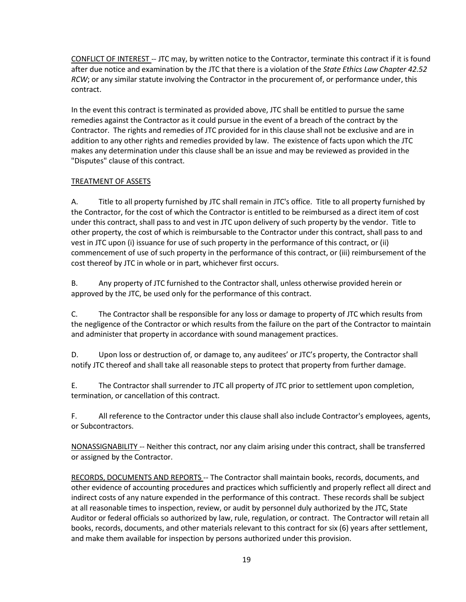CONFLICT OF INTEREST -- JTC may, by written notice to the Contractor, terminate this contract if it is found after due notice and examination by the JTC that there is a violation of the *State Ethics Law Chapter 42.52 RCW*; or any similar statute involving the Contractor in the procurement of, or performance under, this contract.

In the event this contract is terminated as provided above, JTC shall be entitled to pursue the same remedies against the Contractor as it could pursue in the event of a breach of the contract by the Contractor. The rights and remedies of JTC provided for in this clause shall not be exclusive and are in addition to any other rights and remedies provided by law. The existence of facts upon which the JTC makes any determination under this clause shall be an issue and may be reviewed as provided in the "Disputes" clause of this contract.

#### TREATMENT OF ASSETS

A. Title to all property furnished by JTC shall remain in JTC's office. Title to all property furnished by the Contractor, for the cost of which the Contractor is entitled to be reimbursed as a direct item of cost under this contract, shall pass to and vest in JTC upon delivery of such property by the vendor. Title to other property, the cost of which is reimbursable to the Contractor under this contract, shall pass to and vest in JTC upon (i) issuance for use of such property in the performance of this contract, or (ii) commencement of use of such property in the performance of this contract, or (iii) reimbursement of the cost thereof by JTC in whole or in part, whichever first occurs.

B. Any property of JTC furnished to the Contractor shall, unless otherwise provided herein or approved by the JTC, be used only for the performance of this contract.

C. The Contractor shall be responsible for any loss or damage to property of JTC which results from the negligence of the Contractor or which results from the failure on the part of the Contractor to maintain and administer that property in accordance with sound management practices.

D. Upon loss or destruction of, or damage to, any auditees' or JTC's property, the Contractor shall notify JTC thereof and shall take all reasonable steps to protect that property from further damage.

E. The Contractor shall surrender to JTC all property of JTC prior to settlement upon completion, termination, or cancellation of this contract.

F. All reference to the Contractor under this clause shall also include Contractor's employees, agents, or Subcontractors.

NONASSIGNABILITY -- Neither this contract, nor any claim arising under this contract, shall be transferred or assigned by the Contractor.

RECORDS, DOCUMENTS AND REPORTS -- The Contractor shall maintain books, records, documents, and other evidence of accounting procedures and practices which sufficiently and properly reflect all direct and indirect costs of any nature expended in the performance of this contract. These records shall be subject at all reasonable times to inspection, review, or audit by personnel duly authorized by the JTC, State Auditor or federal officials so authorized by law, rule, regulation, or contract. The Contractor will retain all books, records, documents, and other materials relevant to this contract for six (6) years after settlement, and make them available for inspection by persons authorized under this provision.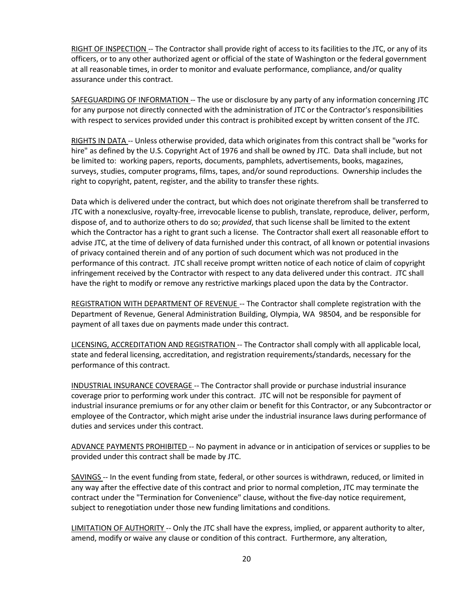RIGHT OF INSPECTION -- The Contractor shall provide right of access to its facilities to the JTC, or any of its officers, or to any other authorized agent or official of the state of Washington or the federal government at all reasonable times, in order to monitor and evaluate performance, compliance, and/or quality assurance under this contract.

SAFEGUARDING OF INFORMATION -- The use or disclosure by any party of any information concerning JTC for any purpose not directly connected with the administration of JTC or the Contractor's responsibilities with respect to services provided under this contract is prohibited except by written consent of the JTC.

RIGHTS IN DATA -- Unless otherwise provided, data which originates from this contract shall be "works for hire" as defined by the U.S. Copyright Act of 1976 and shall be owned by JTC. Data shall include, but not be limited to: working papers, reports, documents, pamphlets, advertisements, books, magazines, surveys, studies, computer programs, films, tapes, and/or sound reproductions. Ownership includes the right to copyright, patent, register, and the ability to transfer these rights.

Data which is delivered under the contract, but which does not originate therefrom shall be transferred to JTC with a nonexclusive, royalty-free, irrevocable license to publish, translate, reproduce, deliver, perform, dispose of, and to authorize others to do so; *provided*, that such license shall be limited to the extent which the Contractor has a right to grant such a license. The Contractor shall exert all reasonable effort to advise JTC, at the time of delivery of data furnished under this contract, of all known or potential invasions of privacy contained therein and of any portion of such document which was not produced in the performance of this contract. JTC shall receive prompt written notice of each notice of claim of copyright infringement received by the Contractor with respect to any data delivered under this contract. JTC shall have the right to modify or remove any restrictive markings placed upon the data by the Contractor.

REGISTRATION WITH DEPARTMENT OF REVENUE -- The Contractor shall complete registration with the Department of Revenue, General Administration Building, Olympia, WA 98504, and be responsible for payment of all taxes due on payments made under this contract.

LICENSING, ACCREDITATION AND REGISTRATION -- The Contractor shall comply with all applicable local, state and federal licensing, accreditation, and registration requirements/standards, necessary for the performance of this contract.

INDUSTRIAL INSURANCE COVERAGE -- The Contractor shall provide or purchase industrial insurance coverage prior to performing work under this contract. JTC will not be responsible for payment of industrial insurance premiums or for any other claim or benefit for this Contractor, or any Subcontractor or employee of the Contractor, which might arise under the industrial insurance laws during performance of duties and services under this contract.

ADVANCE PAYMENTS PROHIBITED -- No payment in advance or in anticipation of services or supplies to be provided under this contract shall be made by JTC.

SAVINGS -- In the event funding from state, federal, or other sources is withdrawn, reduced, or limited in any way after the effective date of this contract and prior to normal completion, JTC may terminate the contract under the "Termination for Convenience" clause, without the five-day notice requirement, subject to renegotiation under those new funding limitations and conditions.

LIMITATION OF AUTHORITY -- Only the JTC shall have the express, implied, or apparent authority to alter, amend, modify or waive any clause or condition of this contract. Furthermore, any alteration,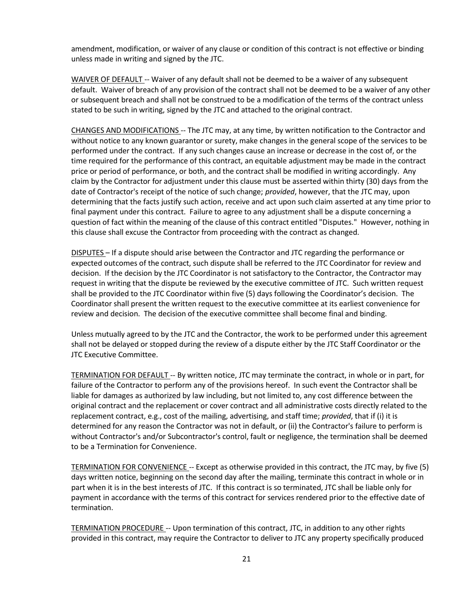amendment, modification, or waiver of any clause or condition of this contract is not effective or binding unless made in writing and signed by the JTC.

WAIVER OF DEFAULT -- Waiver of any default shall not be deemed to be a waiver of any subsequent default. Waiver of breach of any provision of the contract shall not be deemed to be a waiver of any other or subsequent breach and shall not be construed to be a modification of the terms of the contract unless stated to be such in writing, signed by the JTC and attached to the original contract.

CHANGES AND MODIFICATIONS -- The JTC may, at any time, by written notification to the Contractor and without notice to any known guarantor or surety, make changes in the general scope of the services to be performed under the contract. If any such changes cause an increase or decrease in the cost of, or the time required for the performance of this contract, an equitable adjustment may be made in the contract price or period of performance, or both, and the contract shall be modified in writing accordingly. Any claim by the Contractor for adjustment under this clause must be asserted within thirty (30) days from the date of Contractor's receipt of the notice of such change; *provided*, however, that the JTC may, upon determining that the facts justify such action, receive and act upon such claim asserted at any time prior to final payment under this contract. Failure to agree to any adjustment shall be a dispute concerning a question of fact within the meaning of the clause of this contract entitled "Disputes." However, nothing in this clause shall excuse the Contractor from proceeding with the contract as changed.

DISPUTES – If a dispute should arise between the Contractor and JTC regarding the performance or expected outcomes of the contract, such dispute shall be referred to the JTC Coordinator for review and decision. If the decision by the JTC Coordinator is not satisfactory to the Contractor, the Contractor may request in writing that the dispute be reviewed by the executive committee of JTC. Such written request shall be provided to the JTC Coordinator within five (5) days following the Coordinator's decision. The Coordinator shall present the written request to the executive committee at its earliest convenience for review and decision. The decision of the executive committee shall become final and binding.

Unless mutually agreed to by the JTC and the Contractor, the work to be performed under this agreement shall not be delayed or stopped during the review of a dispute either by the JTC Staff Coordinator or the JTC Executive Committee.

TERMINATION FOR DEFAULT -- By written notice, JTC may terminate the contract, in whole or in part, for failure of the Contractor to perform any of the provisions hereof. In such event the Contractor shall be liable for damages as authorized by law including, but not limited to, any cost difference between the original contract and the replacement or cover contract and all administrative costs directly related to the replacement contract, e.g., cost of the mailing, advertising, and staff time; *provided*, that if (i) it is determined for any reason the Contractor was not in default, or (ii) the Contractor's failure to perform is without Contractor's and/or Subcontractor's control, fault or negligence, the termination shall be deemed to be a Termination for Convenience.

TERMINATION FOR CONVENIENCE -- Except as otherwise provided in this contract, the JTC may, by five (5) days written notice, beginning on the second day after the mailing, terminate this contract in whole or in part when it is in the best interests of JTC. If this contract is so terminated, JTC shall be liable only for payment in accordance with the terms of this contract for services rendered prior to the effective date of termination.

TERMINATION PROCEDURE -- Upon termination of this contract, JTC, in addition to any other rights provided in this contract, may require the Contractor to deliver to JTC any property specifically produced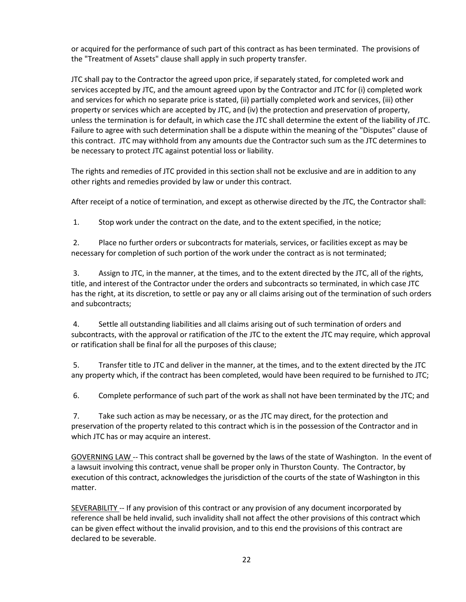or acquired for the performance of such part of this contract as has been terminated. The provisions of the "Treatment of Assets" clause shall apply in such property transfer.

JTC shall pay to the Contractor the agreed upon price, if separately stated, for completed work and services accepted by JTC, and the amount agreed upon by the Contractor and JTC for (i) completed work and services for which no separate price is stated, (ii) partially completed work and services, (iii) other property or services which are accepted by JTC, and (iv) the protection and preservation of property, unless the termination is for default, in which case the JTC shall determine the extent of the liability of JTC. Failure to agree with such determination shall be a dispute within the meaning of the "Disputes" clause of this contract. JTC may withhold from any amounts due the Contractor such sum as the JTC determines to be necessary to protect JTC against potential loss or liability.

The rights and remedies of JTC provided in this section shall not be exclusive and are in addition to any other rights and remedies provided by law or under this contract.

After receipt of a notice of termination, and except as otherwise directed by the JTC, the Contractor shall:

1. Stop work under the contract on the date, and to the extent specified, in the notice;

2. Place no further orders or subcontracts for materials, services, or facilities except as may be necessary for completion of such portion of the work under the contract as is not terminated;

3. Assign to JTC, in the manner, at the times, and to the extent directed by the JTC, all of the rights, title, and interest of the Contractor under the orders and subcontracts so terminated, in which case JTC has the right, at its discretion, to settle or pay any or all claims arising out of the termination of such orders and subcontracts;

4. Settle all outstanding liabilities and all claims arising out of such termination of orders and subcontracts, with the approval or ratification of the JTC to the extent the JTC may require, which approval or ratification shall be final for all the purposes of this clause;

5. Transfer title to JTC and deliver in the manner, at the times, and to the extent directed by the JTC any property which, if the contract has been completed, would have been required to be furnished to JTC;

6. Complete performance of such part of the work as shall not have been terminated by the JTC; and

7. Take such action as may be necessary, or as the JTC may direct, for the protection and preservation of the property related to this contract which is in the possession of the Contractor and in which JTC has or may acquire an interest.

GOVERNING LAW -- This contract shall be governed by the laws of the state of Washington. In the event of a lawsuit involving this contract, venue shall be proper only in Thurston County. The Contractor, by execution of this contract, acknowledges the jurisdiction of the courts of the state of Washington in this matter.

SEVERABILITY -- If any provision of this contract or any provision of any document incorporated by reference shall be held invalid, such invalidity shall not affect the other provisions of this contract which can be given effect without the invalid provision, and to this end the provisions of this contract are declared to be severable.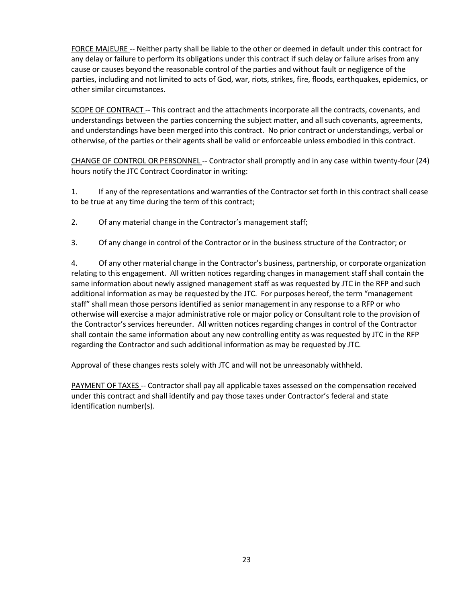FORCE MAJEURE -- Neither party shall be liable to the other or deemed in default under this contract for any delay or failure to perform its obligations under this contract if such delay or failure arises from any cause or causes beyond the reasonable control of the parties and without fault or negligence of the parties, including and not limited to acts of God, war, riots, strikes, fire, floods, earthquakes, epidemics, or other similar circumstances.

SCOPE OF CONTRACT -- This contract and the attachments incorporate all the contracts, covenants, and understandings between the parties concerning the subject matter, and all such covenants, agreements, and understandings have been merged into this contract. No prior contract or understandings, verbal or otherwise, of the parties or their agents shall be valid or enforceable unless embodied in this contract.

CHANGE OF CONTROL OR PERSONNEL -- Contractor shall promptly and in any case within twenty-four (24) hours notify the JTC Contract Coordinator in writing:

1. If any of the representations and warranties of the Contractor set forth in this contract shall cease to be true at any time during the term of this contract;

- 2. Of any material change in the Contractor's management staff;
- 3. Of any change in control of the Contractor or in the business structure of the Contractor; or

4. Of any other material change in the Contractor's business, partnership, or corporate organization relating to this engagement. All written notices regarding changes in management staff shall contain the same information about newly assigned management staff as was requested by JTC in the RFP and such additional information as may be requested by the JTC. For purposes hereof, the term "management staff" shall mean those persons identified as senior management in any response to a RFP or who otherwise will exercise a major administrative role or major policy or Consultant role to the provision of the Contractor's services hereunder. All written notices regarding changes in control of the Contractor shall contain the same information about any new controlling entity as was requested by JTC in the RFP regarding the Contractor and such additional information as may be requested by JTC.

Approval of these changes rests solely with JTC and will not be unreasonably withheld.

PAYMENT OF TAXES -- Contractor shall pay all applicable taxes assessed on the compensation received under this contract and shall identify and pay those taxes under Contractor's federal and state identification number(s).